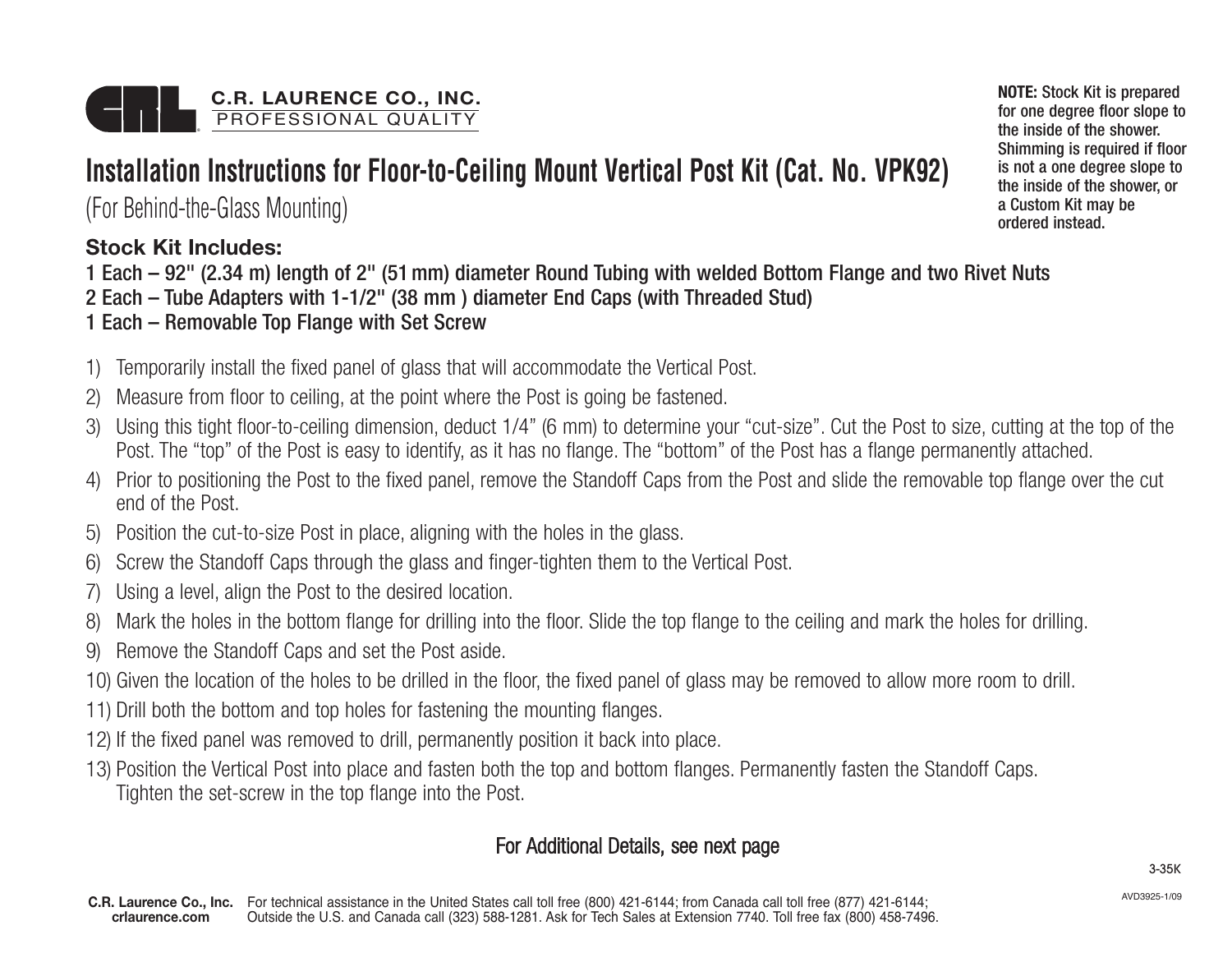# **Installation Instructions for Floor-to-Ceiling Mount Vertical Post Kit (Cat. No. VPK92)**

(For Behind-the-Glass Mounting)

### **Stock Kit Includes:**

- 1 Each 92" (2.34 m) length of 2" (51mm) diameter Round Tubing with welded Bottom Flange and two Rivet Nuts
- 2 Each Tube Adapters with 1-1/2" (38 mm ) diameter End Caps (with Threaded Stud)
- 1 Each Removable Top Flange with Set Screw
- 1) Temporarily install the fixed panel of glass that will accommodate the Vertical Post.
- 2) Measure from floor to ceiling, at the point where the Post is going be fastened.
- 3) Using this tight floor-to-ceiling dimension, deduct 1/4" (6 mm) to determine your "cut-size". Cut the Post to size, cutting at the top of the Post. The "top" of the Post is easy to identify, as it has no flange. The "bottom" of the Post has a flange permanently attached.
- 4) Prior to positioning the Post to the fixed panel, remove the Standoff Caps from the Post and slide the removable top flange over the cut end of the Post.
- 5) Position the cut-to-size Post in place, aligning with the holes in the glass.
- 6) Screw the Standoff Caps through the glass and finger-tighten them to the Vertical Post.
- 7) Using a level, align the Post to the desired location.
- 8) Mark the holes in the bottom flange for drilling into the floor. Slide the top flange to the ceiling and mark the holes for drilling.
- 9) Remove the Standoff Caps and set the Post aside.
- 10) Given the location of the holes to be drilled in the floor, the fixed panel of glass may be removed to allow more room to drill.
- 11) Drill both the bottom and top holes for fastening the mounting flanges.
- 12) If the fixed panel was removed to drill, permanently position it back into place.
- 13) Position the Vertical Post into place and fasten both the top and bottom flanges. Permanently fasten the Standoff Caps. Tighten the set-screw in the top flange into the Post.

## For Additional Details, see next page

AVD3925-1/09

**NOTE:** Stock Kit is prepared for one degree floor slope to the inside of the shower. Shimming is required if floor is not a one degree slope to the inside of the shower, or a Custom Kit may be ordered instead.

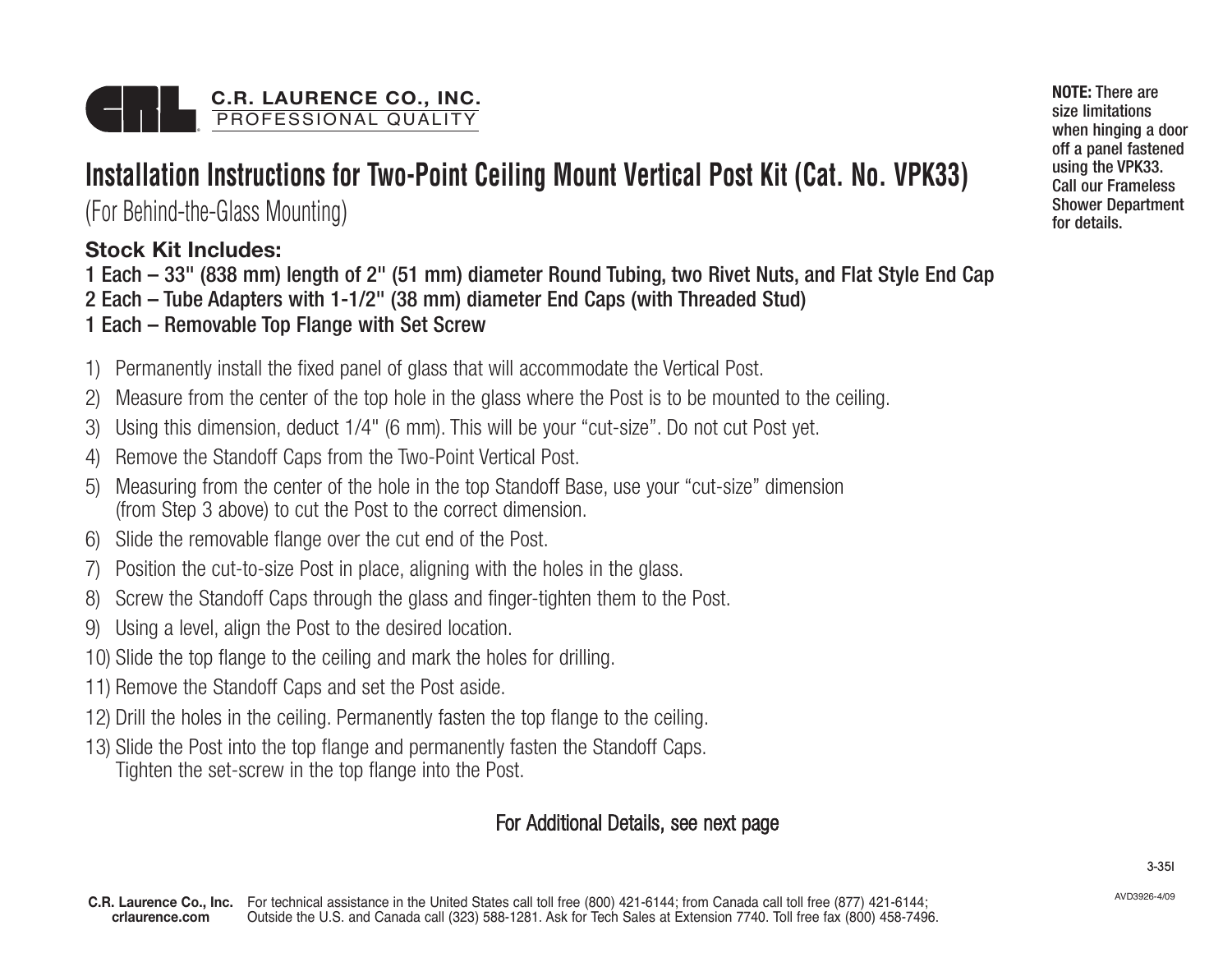# **Installation Instructions for Two-Point Ceiling Mount Vertical Post Kit (Cat. No. VPK33)**

(For Behind-the-Glass Mounting)

### **Stock Kit Includes:**

1 Each – 33" (838 mm) length of 2" (51 mm) diameter Round Tubing, two Rivet Nuts, and Flat Style End Cap

- 2 Each Tube Adapters with 1-1/2" (38 mm) diameter End Caps (with Threaded Stud)
- 1 Each Removable Top Flange with Set Screw
- 1) Permanently install the fixed panel of glass that will accommodate the Vertical Post.
- 2) Measure from the center of the top hole in the glass where the Post is to be mounted to the ceiling.
- 3) Using this dimension, deduct 1/4" (6 mm). This will be your "cut-size". Do not cut Post yet.
- 4) Remove the Standoff Caps from the Two-Point Vertical Post.
- 5) Measuring from the center of the hole in the top Standoff Base, use your "cut-size" dimension (from Step 3 above) to cut the Post to the correct dimension.
- 6) Slide the removable flange over the cut end of the Post.
- 7) Position the cut-to-size Post in place, aligning with the holes in the glass.
- 8) Screw the Standoff Caps through the glass and finger-tighten them to the Post.
- 9) Using a level, align the Post to the desired location.
- 10) Slide the top flange to the ceiling and mark the holes for drilling.
- 11) Remove the Standoff Caps and set the Post aside.
- 12) Drill the holes in the ceiling. Permanently fasten the top flange to the ceiling.
- 13) Slide the Post into the top flange and permanently fasten the Standoff Caps. Tighten the set-screw in the top flange into the Post.

#### For Additional Details, see next page

**NOTE:** There are size limitations when hinging a door off a panel fastened using the VPK33. Call our Frameless Shower Department for details.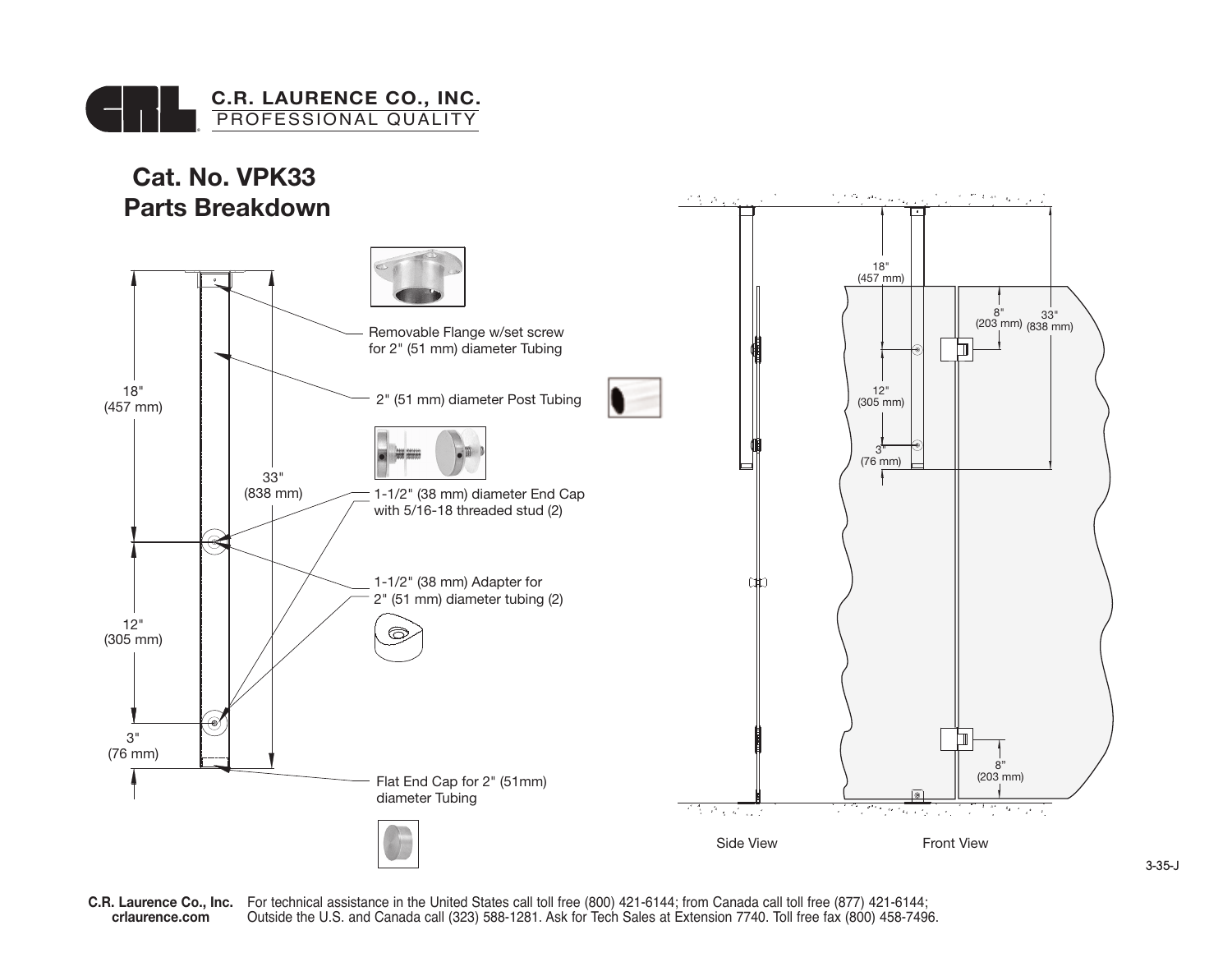



For technical assistance in the United States call toll free (800) 421-6144; from Canada call toll free (877) 421-6144; Outside the U.S. and Canada call (323) 588-1281. Ask for Tech Sales at Extension 7740. Toll free fax (800) 458-7496. **C.R. Laurence Co., Inc. crlaurence.com**